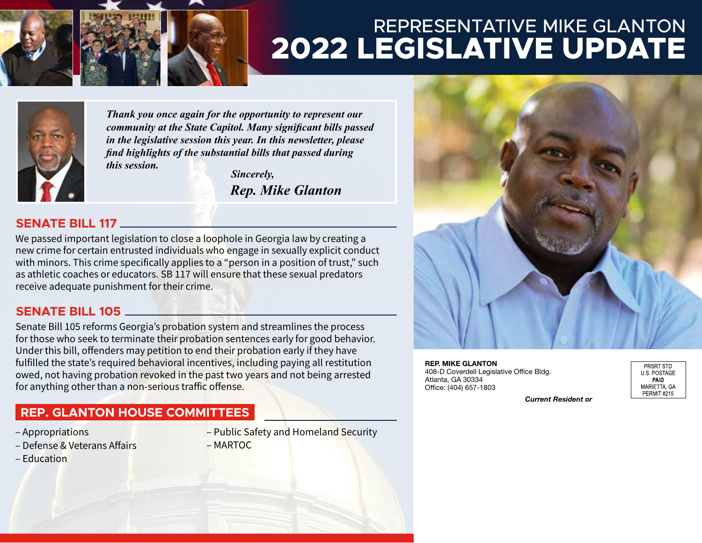

# REPRESENTATIVE MIKE GLANTON **2022 LEGISLATIVE UPDATE**



*Thank you once again for the opportunity to represent our community at the State Capitol. Many significant bills passed in the legislative session this year. In this newsletter, please find highlights of the substantial bills that passed during this session.*

 *Sincerely, Rep. Mike Glanton*

### **SENATE BILL 117**

We passed important legislation to close a loophole in Georgia law by creating a new crime for certain entrusted individuals who engage in sexually explicit conduct with minors. This crime specifically applies to a "person in a position of trust," such as athletic coaches or educators. SB 117 will ensure that these sexual predators receive adequate punishment for their crime.

### **SENATE BILL 105**

Senate Bill 105 reforms Georgia's probation system and streamlines the process for those who seek to terminate their probation sentences early for good behavior. Under this bill, offenders may petition to end their probation early if they have fulfilled the state's required behavioral incentives, including paying all restitution owed, not having probation revoked in the past two years and not being arrested for anything other than a non-serious traffic offense.

## **REP. GLANTON HOUSE COMMITTEES**

- Appropriations
- Defense & Veterans Affairs
- Education
- Public Safety and Homeland Security
- MARTOC



408-D Coverdell Legislative Office Bldg. Atlanta, GA 30334 Office: (404) 657-1803

| PRSRT STD          |
|--------------------|
| U S POSTAGE        |
| PAID               |
| MARIETTA. GA       |
| <b>PERMIT #215</b> |

*Current Resident or*